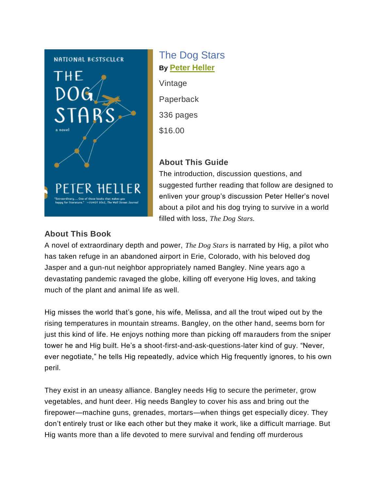

# The Dog Stars **By [Peter Heller](http://knopfdoubleday.com/author/158167/peter-heller/)**

Vintage Paperback 336 pages \$16.00

#### **About This Guide**

The introduction, discussion questions, and suggested further reading that follow are designed to enliven your group's discussion Peter Heller's novel about a pilot and his dog trying to survive in a world filled with loss, *The Dog Stars.*

#### **About This Book**

A novel of extraordinary depth and power, *The Dog Stars* is narrated by Hig, a pilot who has taken refuge in an abandoned airport in Erie, Colorado, with his beloved dog Jasper and a gun-nut neighbor appropriately named Bangley. Nine years ago a devastating pandemic ravaged the globe, killing off everyone Hig loves, and taking much of the plant and animal life as well.

Hig misses the world that's gone, his wife, Melissa, and all the trout wiped out by the rising temperatures in mountain streams. Bangley, on the other hand, seems born for just this kind of life. He enjoys nothing more than picking off marauders from the sniper tower he and Hig built. He's a shoot-first-and-ask-questions-later kind of guy. "Never, ever negotiate," he tells Hig repeatedly, advice which Hig frequently ignores, to his own peril.

They exist in an uneasy alliance. Bangley needs Hig to secure the perimeter, grow vegetables, and hunt deer. Hig needs Bangley to cover his ass and bring out the firepower—machine guns, grenades, mortars—when things get especially dicey. They don't entirely trust or like each other but they make it work, like a difficult marriage. But Hig wants more than a life devoted to mere survival and fending off murderous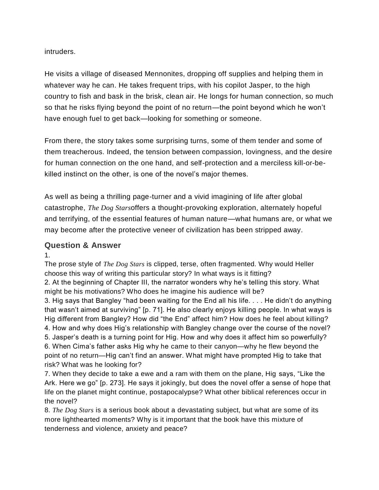intruders.

He visits a village of diseased Mennonites, dropping off supplies and helping them in whatever way he can. He takes frequent trips, with his copilot Jasper, to the high country to fish and bask in the brisk, clean air. He longs for human connection, so much so that he risks flying beyond the point of no return—the point beyond which he won't have enough fuel to get back—looking for something or someone.

From there, the story takes some surprising turns, some of them tender and some of them treacherous. Indeed, the tension between compassion, lovingness, and the desire for human connection on the one hand, and self-protection and a merciless kill-or-bekilled instinct on the other, is one of the novel's major themes.

As well as being a thrilling page-turner and a vivid imagining of life after global catastrophe, *The Dog Stars*offers a thought-provoking exploration, alternately hopeful and terrifying, of the essential features of human nature—what humans are, or what we may become after the protective veneer of civilization has been stripped away.

#### **Question & Answer**

1.

The prose style of *The Dog Stars* is clipped, terse, often fragmented. Why would Heller choose this way of writing this particular story? In what ways is it fitting?

2. At the beginning of Chapter III, the narrator wonders why he's telling this story. What might be his motivations? Who does he imagine his audience will be?

3. Hig says that Bangley "had been waiting for the End all his life. . . . He didn't do anything that wasn't aimed at surviving" [p. 71]. He also clearly enjoys killing people. In what ways is Hig different from Bangley? How did "the End" affect him? How does he feel about killing? 4. How and why does Hig's relationship with Bangley change over the course of the novel? 5. Jasper's death is a turning point for Hig. How and why does it affect him so powerfully? 6. When Cima's father asks Hig why he came to their canyon—why he flew beyond the point of no return—Hig can't find an answer. What might have prompted Hig to take that risk? What was he looking for?

7. When they decide to take a ewe and a ram with them on the plane, Hig says, "Like the Ark. Here we go" [p. 273]. He says it jokingly, but does the novel offer a sense of hope that life on the planet might continue, postapocalypse? What other biblical references occur in the novel?

8. *The Dog Stars* is a serious book about a devastating subject, but what are some of its more lighthearted moments? Why is it important that the book have this mixture of tenderness and violence, anxiety and peace?